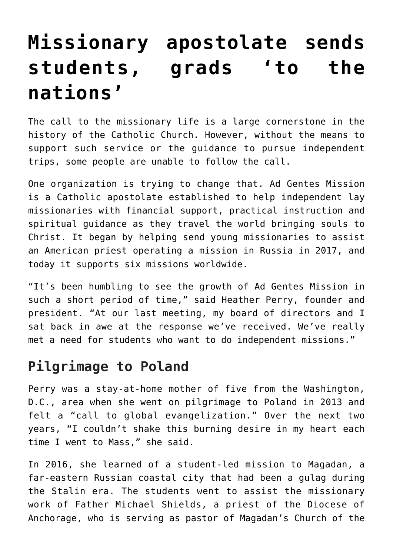# **[Missionary apostolate sends](https://www.osvnews.com/2018/12/19/missionary-apostolate-sends-students-grads-to-the-nations/) [students, grads 'to the](https://www.osvnews.com/2018/12/19/missionary-apostolate-sends-students-grads-to-the-nations/) [nations'](https://www.osvnews.com/2018/12/19/missionary-apostolate-sends-students-grads-to-the-nations/)**

The call to the missionary life is a large cornerstone in the history of the Catholic Church. However, without the means to support such service or the guidance to pursue independent trips, some people are unable to follow the call.

One organization is trying to change that. Ad Gentes Mission is a Catholic apostolate established to help independent lay missionaries with financial support, practical instruction and spiritual guidance as they travel the world bringing souls to Christ. It began by helping send young missionaries to assist an American priest operating a mission in Russia in 2017, and today it supports six missions worldwide.

"It's been humbling to see the growth of Ad Gentes Mission in such a short period of time," said Heather Perry, founder and president. "At our last meeting, my board of directors and I sat back in awe at the response we've received. We've really met a need for students who want to do independent missions."

#### **Pilgrimage to Poland**

Perry was a stay-at-home mother of five from the Washington, D.C., area when she went on pilgrimage to Poland in 2013 and felt a "call to global evangelization." Over the next two years, "I couldn't shake this burning desire in my heart each time I went to Mass," she said.

In 2016, she learned of a student-led mission to Magadan, a far-eastern Russian coastal city that had been a gulag during the Stalin era. The students went to assist the missionary work of Father Michael Shields, a priest of the Diocese of Anchorage, who is serving as pastor of Magadan's Church of the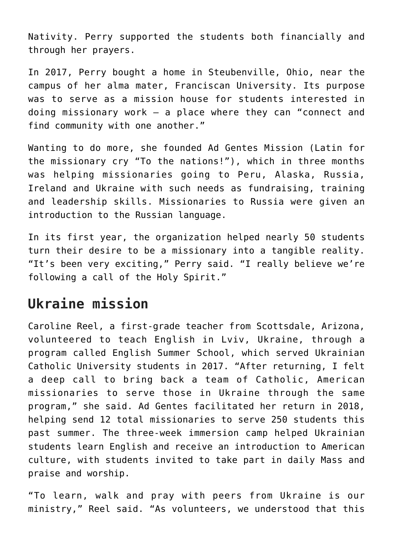Nativity. Perry supported the students both financially and through her prayers.

In 2017, Perry bought a home in Steubenville, Ohio, near the campus of her alma mater, Franciscan University. Its purpose was to serve as a mission house for students interested in doing missionary work — a place where they can "connect and find community with one another."

Wanting to do more, she founded Ad Gentes Mission (Latin for the missionary cry "To the nations!"), which in three months was helping missionaries going to Peru, Alaska, Russia, Ireland and Ukraine with such needs as fundraising, training and leadership skills. Missionaries to Russia were given an introduction to the Russian language.

In its first year, the organization helped nearly 50 students turn their desire to be a missionary into a tangible reality. "It's been very exciting," Perry said. "I really believe we're following a call of the Holy Spirit."

## **Ukraine mission**

Caroline Reel, a first-grade teacher from Scottsdale, Arizona, volunteered to teach English in Lviv, Ukraine, through a program called English Summer School, which served Ukrainian Catholic University students in 2017. "After returning, I felt a deep call to bring back a team of Catholic, American missionaries to serve those in Ukraine through the same program," she said. Ad Gentes facilitated her return in 2018, helping send 12 total missionaries to serve 250 students this past summer. The three-week immersion camp helped Ukrainian students learn English and receive an introduction to American culture, with students invited to take part in daily Mass and praise and worship.

"To learn, walk and pray with peers from Ukraine is our ministry," Reel said. "As volunteers, we understood that this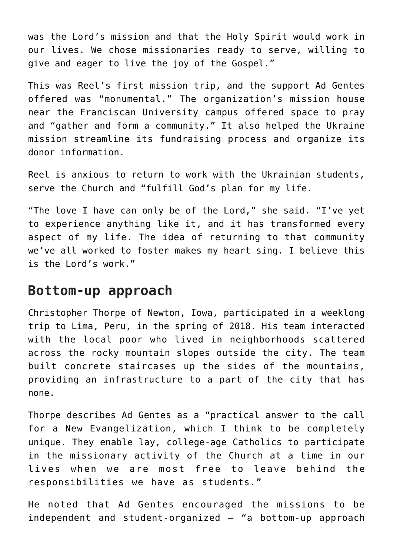was the Lord's mission and that the Holy Spirit would work in our lives. We chose missionaries ready to serve, willing to give and eager to live the joy of the Gospel."

This was Reel's first mission trip, and the support Ad Gentes offered was "monumental." The organization's mission house near the Franciscan University campus offered space to pray and "gather and form a community." It also helped the Ukraine mission streamline its fundraising process and organize its donor information.

Reel is anxious to return to work with the Ukrainian students, serve the Church and "fulfill God's plan for my life.

"The love I have can only be of the Lord," she said. "I've yet to experience anything like it, and it has transformed every aspect of my life. The idea of returning to that community we've all worked to foster makes my heart sing. I believe this is the Lord's work."

#### **Bottom-up approach**

Christopher Thorpe of Newton, Iowa, participated in a weeklong trip to Lima, Peru, in the spring of 2018. His team interacted with the local poor who lived in neighborhoods scattered across the rocky mountain slopes outside the city. The team built concrete staircases up the sides of the mountains, providing an infrastructure to a part of the city that has none.

Thorpe describes Ad Gentes as a "practical answer to the call for a New Evangelization, which I think to be completely unique. They enable lay, college-age Catholics to participate in the missionary activity of the Church at a time in our lives when we are most free to leave behind the responsibilities we have as students."

He noted that Ad Gentes encouraged the missions to be independent and student-organized — "a bottom-up approach